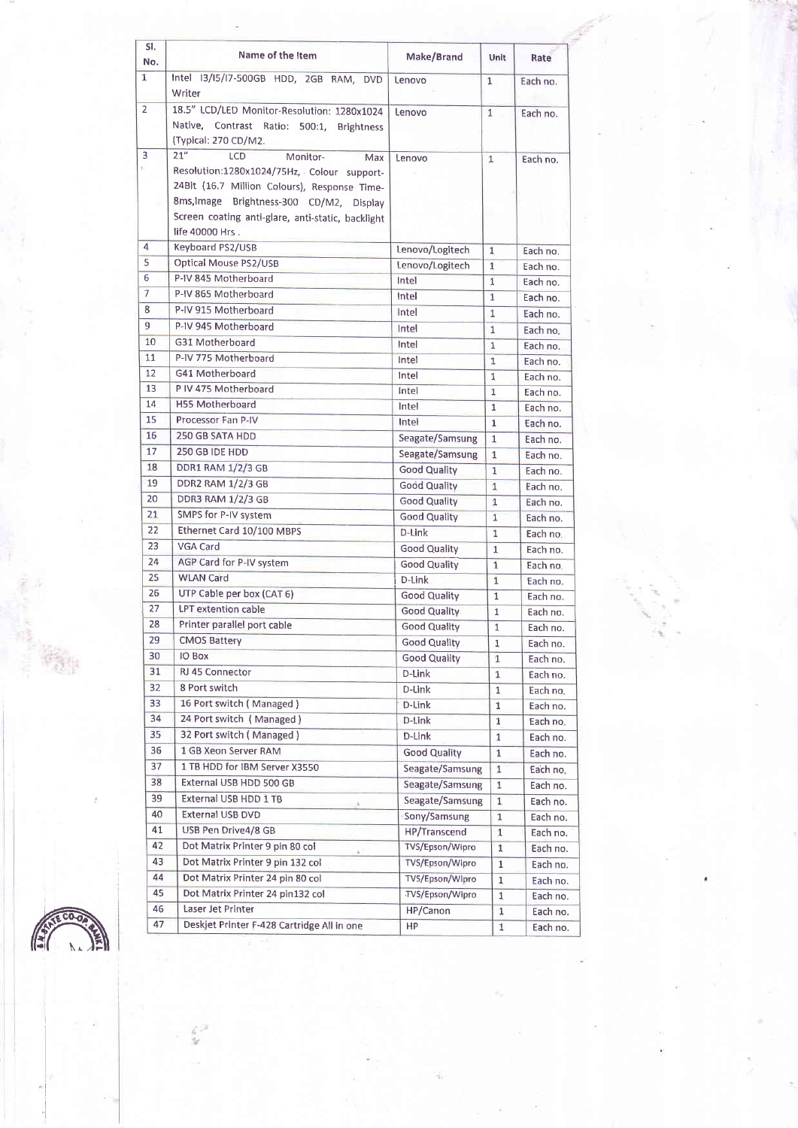| SI.<br>No. | Name of the Item                                                                                                                                                                                                                                       | Make/Brand                         | <b>Unit</b>    | Rate                 |
|------------|--------------------------------------------------------------------------------------------------------------------------------------------------------------------------------------------------------------------------------------------------------|------------------------------------|----------------|----------------------|
| 1          | Intel 13/15/17-500GB HDD, 2GB RAM, DVD<br>Writer                                                                                                                                                                                                       | Lenovo                             | $\mathbf{1}$   | Each no.             |
| 2          | 18.5" LCD/LED Monitor-Resolution: 1280x1024<br>Native, Contrast Ratio: 500:1, Brightness                                                                                                                                                               | Lenovo                             | $\mathbf{1}$   | Each no.             |
|            | (Typical: 270 CD/M2.                                                                                                                                                                                                                                   |                                    |                |                      |
| 3          | 21"<br><b>LCD</b><br>Monitor-<br>Max<br>Resolution:1280x1024/75Hz, Colour support-<br>24Bit (16.7 Million Colours), Response Time-<br>8ms, Image Brightness-300 CD/M2, Display<br>Screen coating anti-glare, anti-static, backlight<br>life 40000 Hrs. | Lenovo                             | $\mathbf{1}$   | Each no.             |
| 4          | Keyboard PS2/USB                                                                                                                                                                                                                                       | Lenovo/Logitech                    | $\mathbf{1}$   | Each no.             |
| 5          | Optical Mouse PS2/USB                                                                                                                                                                                                                                  | Lenovo/Logitech                    | $\mathbf{1}$   | Each no.             |
| 6          | P-IV 845 Motherboard                                                                                                                                                                                                                                   | Intel                              | $\mathbf{1}$   | Each no.             |
| 7          | P-IV 865 Motherboard                                                                                                                                                                                                                                   | Intel                              | $\mathbf{1}$   | Each no.             |
| 8          | P-IV 915 Motherboard                                                                                                                                                                                                                                   | Intel                              | $\mathbf 1$    | Each no.             |
| 9          | P-IV 945 Motherboard                                                                                                                                                                                                                                   | Intel                              | $\mathbf{1}$   | Each no.             |
| 10         | G31 Motherboard                                                                                                                                                                                                                                        | Intel                              | $\mathbf{1}$   | Each no.             |
| 11         | P-IV 775 Motherboard                                                                                                                                                                                                                                   | Intel                              | 1              | Each no.             |
| 12         | G41 Motherboard                                                                                                                                                                                                                                        | Intel                              | 1              | Each no.             |
| 13         | P IV 475 Motherboard                                                                                                                                                                                                                                   | Intel                              | $\mathbf 1$    | Each no.             |
| 14         | <b>H55 Motherboard</b>                                                                                                                                                                                                                                 | Intel                              | $\mathbf{1}$   | Each no.             |
| 15         | Processor Fan P-IV                                                                                                                                                                                                                                     | Intel                              | $\mathbf{1}$   | Each no.             |
| 16         | 250 GB SATA HDD                                                                                                                                                                                                                                        | Seagate/Samsung                    | 1              | Each no.             |
| 17         | 250 GB IDE HDD                                                                                                                                                                                                                                         | Seagate/Samsung                    | 1              | Each no.             |
| 18         | <b>DDR1 RAM 1/2/3 GB</b>                                                                                                                                                                                                                               | <b>Good Quality</b>                | $\mathbf{1}$   | Each no.             |
| 19         | <b>DDR2 RAM 1/2/3 GB</b>                                                                                                                                                                                                                               | <b>Good Quality</b>                | $\overline{1}$ | Each no.             |
| 20         | <b>DDR3 RAM 1/2/3 GB</b>                                                                                                                                                                                                                               | <b>Good Quality</b>                | 1              | Each no.             |
| 21         | SMPS for P-IV system                                                                                                                                                                                                                                   | <b>Good Quality</b>                | $\mathbf{1}$   | Each no.             |
| 22         | Ethernet Card 10/100 MBPS                                                                                                                                                                                                                              | D-Link                             | $\mathbf{1}$   | Each no.             |
| 23         | VGA Card                                                                                                                                                                                                                                               | <b>Good Quality</b>                | $\mathbf{1}$   | Each no.             |
| 24         | AGP Card for P-IV system                                                                                                                                                                                                                               | <b>Good Quality</b>                | $\overline{1}$ | Each no.             |
| 25         | <b>WLAN Card</b>                                                                                                                                                                                                                                       | D-Link                             | $\mathbf{1}$   | Each no.             |
| 26         | UTP Cable per box (CAT 6)                                                                                                                                                                                                                              | <b>Good Quality</b>                | $\mathbf{1}$   | Each no.             |
| 27         | LPT extention cable                                                                                                                                                                                                                                    | <b>Good Quality</b>                | $\mathbf{1}$   | Each no.             |
| 28         | Printer parallel port cable                                                                                                                                                                                                                            | <b>Good Quality</b>                | $\mathbf{1}$   | Each no.             |
| 29         | <b>CMOS Battery</b>                                                                                                                                                                                                                                    | <b>Good Quality</b>                | $\mathbf 1$    |                      |
| 30         | <b>IO Box</b>                                                                                                                                                                                                                                          | <b>Good Quality</b>                | $\mathbf{1}$   | Each no.             |
| 31         | RJ 45 Connector                                                                                                                                                                                                                                        | D-Link                             | 1              | Each no.<br>Each no. |
| 32         | 8 Port switch                                                                                                                                                                                                                                          | D-Link                             | 1              | Each no.             |
| 33         | 16 Port switch (Managed)                                                                                                                                                                                                                               | D-Link                             | 1              |                      |
| 34         | 24 Port switch (Managed)                                                                                                                                                                                                                               | D-Link                             | 1              | Each no.<br>Each no. |
| 35         | 32 Port switch (Managed)                                                                                                                                                                                                                               | D-Link                             | $\mathbf{1}$   | Each no.             |
| 36         | 1 GB Xeon Server RAM                                                                                                                                                                                                                                   |                                    |                |                      |
| 37         | 1 TB HDD for IBM Server X3550                                                                                                                                                                                                                          | <b>Good Quality</b>                | $\mathbf 1$    | Each no.             |
| 38         | External USB HDD 500 GB                                                                                                                                                                                                                                | Seagate/Samsung<br>Seagate/Samsung | $\mathbf{1}$   | Each no.             |
| 39         | External USB HDD 1 TB                                                                                                                                                                                                                                  |                                    | $\mathbf{1}$   | Each no.             |
| 40         | External USB DVD                                                                                                                                                                                                                                       | Seagate/Samsung                    | 1              | Each no.             |
| 41         | USB Pen Drive4/8 GB                                                                                                                                                                                                                                    | Sony/Samsung                       | $\mathbf{1}$   | Each no.             |
| 42         | Dot Matrix Printer 9 pin 80 col                                                                                                                                                                                                                        | HP/Transcend                       | $\mathbf{1}$   | Each no.             |
| 43         |                                                                                                                                                                                                                                                        | TVS/Epson/Wipro                    | $\mathbf{1}$   | Each no.             |
|            | Dot Matrix Printer 9 pin 132 col                                                                                                                                                                                                                       | TVS/Epson/Wipro                    | $\mathbf{1}$   | Each no.             |
| 44         | Dot Matrix Printer 24 pin 80 col                                                                                                                                                                                                                       | TVS/Epson/Wipro                    | $\mathbf{1}$   | Each no.             |
| 45         | Dot Matrix Printer 24 pin132 col                                                                                                                                                                                                                       | TVS/Epson/Wipro                    | 1              | Each no.             |
| 46         | Laser Jet Printer                                                                                                                                                                                                                                      | HP/Canon                           | 1              | Each no.             |
| 47         | Deskjet Printer F-428 Cartridge All in one                                                                                                                                                                                                             | <b>HP</b>                          | $\mathbf{1}$   | Each no.             |

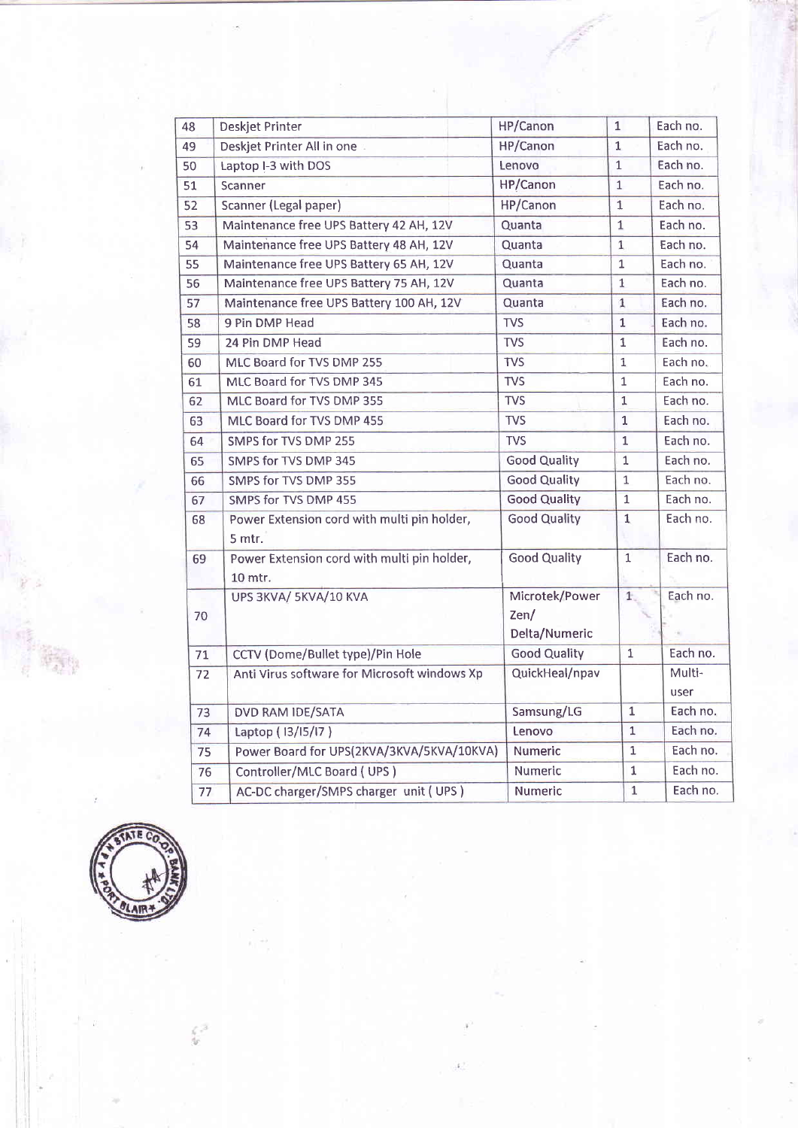| 48 | Deskjet Printer                                        | HP/Canon            | $\mathbf{1}$   | Each no.       |
|----|--------------------------------------------------------|---------------------|----------------|----------------|
|    |                                                        |                     |                | Each no.       |
| 49 | Deskjet Printer All in one                             | HP/Canon            | $\mathbf{1}$   |                |
| 50 | Laptop I-3 with DOS                                    | Lenovo              | $\mathbf{1}$   | Each no.       |
| 51 | Scanner                                                | <b>HP/Canon</b>     | $\mathbf{1}$   | Each no.       |
| 52 | Scanner (Legal paper)                                  | HP/Canon            | 1              | Each no.       |
| 53 | Maintenance free UPS Battery 42 AH, 12V                | Quanta              | $\overline{1}$ | Each no.       |
| 54 | Maintenance free UPS Battery 48 AH, 12V                | Quanta              | $\overline{1}$ | Each no.       |
| 55 | Maintenance free UPS Battery 65 AH, 12V                | Quanta              | $\overline{1}$ | Each no.       |
| 56 | Maintenance free UPS Battery 75 AH, 12V                | Quanta              | $\mathbf{1}$   | Each no.       |
| 57 | Maintenance free UPS Battery 100 AH, 12V               | Quanta              | $\mathbf{1}$   | Each no.       |
| 58 | 9 Pin DMP Head                                         | <b>TVS</b>          | $\mathbf{1}$   | Each no.       |
| 59 | 24 Pin DMP Head                                        | <b>TVS</b>          | $\mathbf{1}$   | Each no.       |
| 60 | MLC Board for TVS DMP 255                              | <b>TVS</b>          | 1              | Each no.       |
| 61 | MLC Board for TVS DMP 345                              | <b>TVS</b>          | $\mathbf{1}$   | Each no.       |
| 62 | MLC Board for TVS DMP 355                              | <b>TVS</b>          | $\mathbf 1$    | Each no.       |
| 63 | MLC Board for TVS DMP 455                              | <b>TVS</b>          | 1              | Each no.       |
| 64 | SMPS for TVS DMP 255                                   | <b>TVS</b>          | $\mathbf{1}$   | Each no.       |
| 65 | SMPS for TVS DMP 345                                   | <b>Good Quality</b> | $\mathbf 1$    | Each no.       |
| 66 | SMPS for TVS DMP 355                                   | <b>Good Quality</b> | $\mathbf{1}$   | Each no.       |
| 67 | SMPS for TVS DMP 455                                   | <b>Good Quality</b> | $\mathbf{1}$   | Each no.       |
| 68 | Power Extension cord with multi pin holder,<br>5 mtr.  | <b>Good Quality</b> | $\mathbf{1}$   | Each no.       |
| 69 | Power Extension cord with multi pin holder,<br>10 mtr. | <b>Good Quality</b> | $\overline{1}$ | Each no.       |
|    | UPS 3KVA/ 5KVA/10 KVA                                  | Microtek/Power      | $1$ .          | Each no.       |
| 70 |                                                        | Zen/                |                |                |
|    |                                                        | Delta/Numeric       |                |                |
| 71 | CCTV (Dome/Bullet type)/Pin Hole                       | <b>Good Quality</b> | $\overline{1}$ | Each no.       |
| 72 | Anti Virus software for Microsoft windows Xp           | QuickHeal/npav      |                | Multi-<br>user |
| 73 | DVD RAM IDE/SATA                                       | Samsung/LG          | $\mathbf{1}$   | Each no.       |
| 74 | Laptop (13/15/17)                                      | Lenovo              | 1              | Each no.       |
| 75 | Power Board for UPS(2KVA/3KVA/5KVA/10KVA)              | <b>Numeric</b>      | 1              | Each no.       |
| 76 | Controller/MLC Board (UPS)                             | Numeric             | $\mathbf 1$    | Each no.       |
| 77 | AC-DC charger/SMPS charger unit (UPS)                  | <b>Numeric</b>      | $\mathbf{1}$   | Each no.       |



 $\frac{1}{2}$